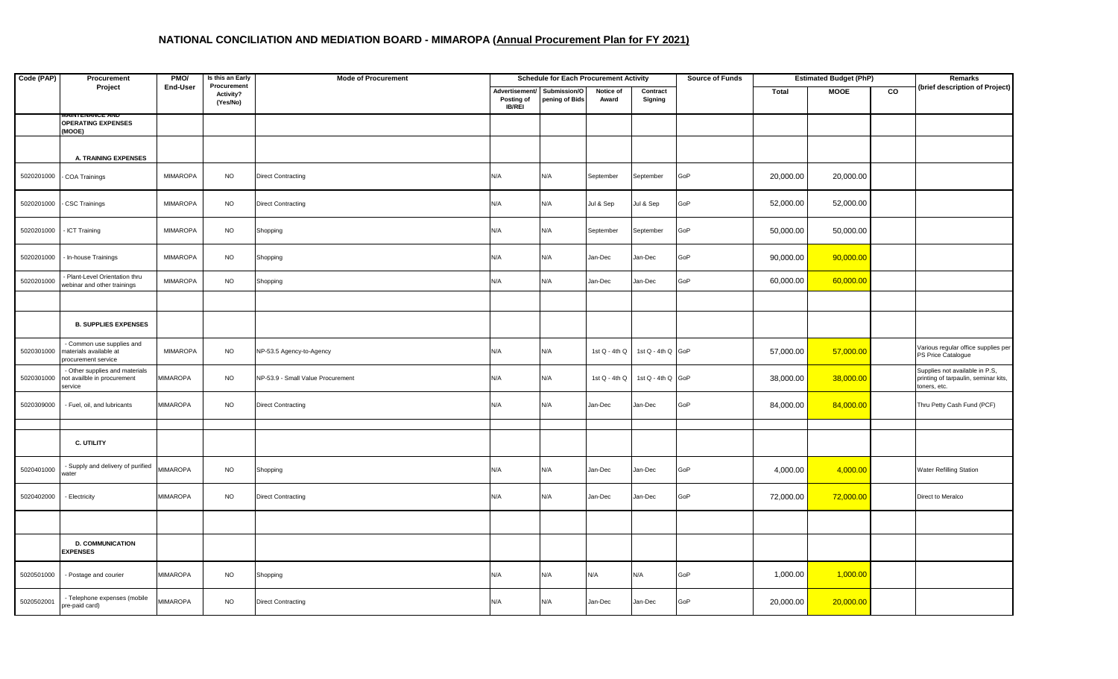| Code (PAP) | Procurement                                                              | PMO/            | Is this an Early                     | <b>Mode of Procurement</b>        | <b>Schedule for Each Procurement Activity</b> |                                |                    |                     | Source of Funds | <b>Estimated Budget (PhP)</b> |             |                | Remarks                                                                                |
|------------|--------------------------------------------------------------------------|-----------------|--------------------------------------|-----------------------------------|-----------------------------------------------|--------------------------------|--------------------|---------------------|-----------------|-------------------------------|-------------|----------------|----------------------------------------------------------------------------------------|
|            | Project                                                                  | End-User        | Procurement<br>Activity?<br>(Yes/No) |                                   | Advertisement/<br>Posting of<br><b>IB/REI</b> | Submission/O<br>pening of Bids | Notice of<br>Award | Contract<br>Signing |                 | Total                         | <b>MOOE</b> | $\overline{c}$ | (brief description of Project)                                                         |
|            | <b>WAINTENANGE ANI</b><br><b>OPERATING EXPENSES</b><br>(MOOE)            |                 |                                      |                                   |                                               |                                |                    |                     |                 |                               |             |                |                                                                                        |
|            | <b>A. TRAINING EXPENSES</b>                                              |                 |                                      |                                   |                                               |                                |                    |                     |                 |                               |             |                |                                                                                        |
| 5020201000 | COA Trainings                                                            | MIMAROPA        | <b>NO</b>                            | <b>Direct Contracting</b>         | N/A                                           | N/A                            | September          | September           | GoP             | 20,000.00                     | 20,000.00   |                |                                                                                        |
| 5020201000 | - CSC Trainings                                                          | MIMAROPA        | <b>NO</b>                            | <b>Direct Contracting</b>         | N/A                                           | N/A                            | Jul & Sep          | Jul & Sep           | GoP             | 52,000.00                     | 52,000.00   |                |                                                                                        |
| 5020201000 | - ICT Training                                                           | MIMAROPA        | <b>NO</b>                            | Shopping                          | N/A                                           | N/A                            | September          | September           | GoP             | 50,000.00                     | 50,000.00   |                |                                                                                        |
| 5020201000 | - In-house Trainings                                                     | <b>MIMAROPA</b> | <b>NO</b>                            | Shopping                          | N/A                                           | N/A                            | Jan-Dec            | Jan-Dec             | GoP             | 90,000.00                     | 90,000.00   |                |                                                                                        |
| 5020201000 | - Plant-Level Orientation thru<br>webinar and other trainings            | <b>MIMAROPA</b> | <b>NO</b>                            | Shopping                          | N/A                                           | N/A                            | Jan-Dec            | Jan-Dec             | GoP             | 60,000.00                     | 60,000.00   |                |                                                                                        |
|            |                                                                          |                 |                                      |                                   |                                               |                                |                    |                     |                 |                               |             |                |                                                                                        |
|            | <b>B. SUPPLIES EXPENSES</b>                                              |                 |                                      |                                   |                                               |                                |                    |                     |                 |                               |             |                |                                                                                        |
| 5020301000 | Common use supplies and<br>materials available at<br>procurement service | MIMAROPA        | <b>NO</b>                            | NP-53.5 Agency-to-Agency          | N/A                                           | N/A                            | 1st Q - 4th Q      | 1st Q - 4th Q GoP   |                 | 57,000.00                     | 57,000.00   |                | Various regular office supplies per<br>PS Price Catalogue                              |
| 5020301000 | - Other supplies and materials<br>not availble in procurement<br>service | <b>MIMAROPA</b> | <b>NO</b>                            | NP-53.9 - Small Value Procurement | N/A                                           | N/A                            | 1st $Q - 4th Q$    | 1st Q - 4th Q GoP   |                 | 38,000.00                     | 38,000.00   |                | Supplies not available in P.S,<br>printing of tarpaulin, seminar kits,<br>toners, etc. |
| 5020309000 | - Fuel, oil, and lubricants                                              | MIMAROPA        | <b>NO</b>                            | <b>Direct Contracting</b>         | N/A                                           | N/A                            | Jan-Dec            | Jan-Dec             | GoP             | 84,000.00                     | 84,000.00   |                | Thru Petty Cash Fund (PCF)                                                             |
|            |                                                                          |                 |                                      |                                   |                                               |                                |                    |                     |                 |                               |             |                |                                                                                        |
|            | C. UTILITY                                                               |                 |                                      |                                   |                                               |                                |                    |                     |                 |                               |             |                |                                                                                        |
| 5020401000 | Supply and delivery of purified<br>vater                                 | <b>MIMAROPA</b> | <b>NO</b>                            | Shopping                          | N/A                                           | N/A                            | Jan-Dec            | Jan-Dec             | GoP             | 4,000.00                      | 4,000.00    |                | <b>Water Refilling Station</b>                                                         |
| 5020402000 | - Electricity                                                            | MIMAROPA        | <b>NO</b>                            | <b>Direct Contracting</b>         | N/A                                           | N/A                            | Jan-Dec            | Jan-Dec             | GoP             | 72,000.00                     | 72,000.00   |                | Direct to Meralco                                                                      |
|            |                                                                          |                 |                                      |                                   |                                               |                                |                    |                     |                 |                               |             |                |                                                                                        |
|            | <b>D. COMMUNICATION</b><br><b>EXPENSES</b>                               |                 |                                      |                                   |                                               |                                |                    |                     |                 |                               |             |                |                                                                                        |
| 5020501000 | - Postage and courier                                                    | <b>MIMAROPA</b> | <b>NO</b>                            | Shopping                          | N/A                                           | N/A                            | N/A                | N/A                 | GoP             | 1,000.00                      | 1,000.00    |                |                                                                                        |
| 5020502001 | - Telephone expenses (mobile<br>pre-paid card)                           | <b>MIMAROPA</b> | <b>NO</b>                            | <b>Direct Contracting</b>         | N/A                                           | N/A                            | Jan-Dec            | Jan-Dec             | GoP             | 20,000.00                     | 20,000.00   |                |                                                                                        |